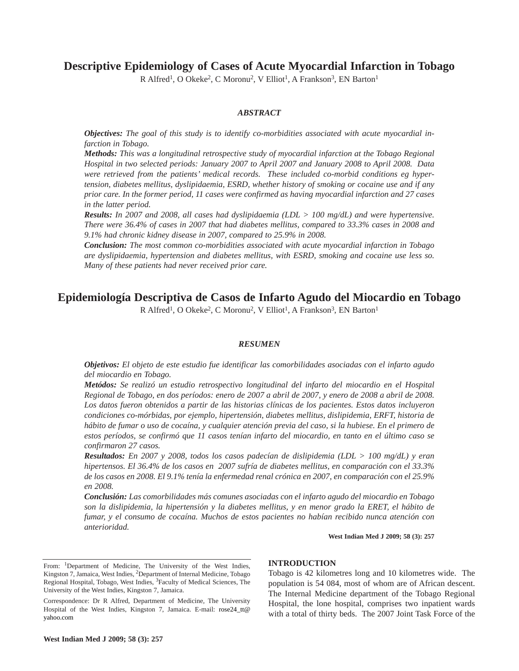# **Descriptive Epidemiology of Cases of Acute Myocardial Infarction in Tobago**

R Alfred<sup>1</sup>, O Okeke<sup>2</sup>, C Moronu<sup>2</sup>, V Elliot<sup>1</sup>, A Frankson<sup>3</sup>, EN Barton<sup>1</sup>

## *ABSTRACT*

*Objectives: The goal of this study is to identify co-morbidities associated with acute myocardial infarction in Tobago.*

*Methods: This was a longitudinal retrospective study of myocardial infarction at the Tobago Regional Hospital in two selected periods: January 2007 to April 2007 and January 2008 to April 2008. Data were retrieved from the patients' medical records. These included co-morbid conditions eg hypertension, diabetes mellitus, dyslipidaemia, ESRD, whether history of smoking or cocaine use and if any prior care. In the former period, 11 cases were confirmed as having myocardial infarction and 27 cases in the latter period.*

*Results: In 2007 and 2008, all cases had dyslipidaemia (LDL > 100 mg/dL) and were hypertensive. There were 36.4% of cases in 2007 that had diabetes mellitus, compared to 33.3% cases in 2008 and 9.1% had chronic kidney disease in 2007, compared to 25.9% in 2008.* 

*Conclusion: The most common co-morbidities associated with acute myocardial infarction in Tobago are dyslipidaemia, hypertension and diabetes mellitus, with ESRD, smoking and cocaine use less so. Many of these patients had never received prior care.*

# **Epidemiología Descriptiva de Casos de Infarto Agudo del Miocardio en Tobago**

R Alfred<sup>1</sup>, O Okeke<sup>2</sup>, C Moronu<sup>2</sup>, V Elliot<sup>1</sup>, A Frankson<sup>3</sup>, EN Barton<sup>1</sup>

### *RESUMEN*

*Objetivos: El objeto de este estudio fue identificar las comorbilidades asociadas con el infarto agudo del miocardio en Tobago.*

*Metódos: Se realizó un estudio retrospectivo longitudinal del infarto del miocardio en el Hospital Regional de Tobago, en dos períodos: enero de 2007 a abril de 2007, y enero de 2008 a abril de 2008. Los datos fueron obtenidos a partir de las historias clínicas de los pacientes. Estos datos incluyeron condiciones co-mórbidas, por ejemplo, hipertensión, diabetes mellitus, dislipidemia, ERFT, historia de hábito de fumar o uso de cocaína, y cualquier atención previa del caso, si la hubiese. En el primero de estos períodos, se confirmó que 11 casos tenían infarto del miocardio, en tanto en el último caso se confirmaron 27 casos.* 

*Resultados: En 2007 y 2008, todos los casos padecían de dislipidemia (LDL > 100 mg/dL) y eran hipertensos. El 36.4% de los casos en 2007 sufría de diabetes mellitus, en comparación con el 33.3% de los casos en 2008. El 9.1% tenía la enfermedad renal crónica en 2007, en comparación con el 25.9% en 2008.* 

*Conclusión: Las comorbilidades más comunes asociadas con el infarto agudo del miocardio en Tobago son la dislipidemia, la hipertensión y la diabetes mellitus, y en menor grado la ERET, el hábito de fumar, y el consumo de cocaína. Muchos de estos pacientes no habían recibido nunca atención con anterioridad.*

**West Indian Med J 2009; 58 (3): 257**

**West Indian Med J 2009; 58 (3): 257**

### **INTRODUCTION**

Tobago is 42 kilometres long and 10 kilometres wide. The population is 54 084, most of whom are of African descent. The Internal Medicine department of the Tobago Regional Hospital, the lone hospital, comprises two inpatient wards with a total of thirty beds. The 2007 Joint Task Force of the

From: <sup>1</sup>Department of Medicine, The University of the West Indies, Kingston 7, Jamaica, West Indies, 2Department of Internal Medicine, Tobago Regional Hospital, Tobago, West Indies, 3Faculty of Medical Sciences, The University of the West Indies, Kingston 7, Jamaica.

Correspondence: Dr R Alfred, Department of Medicine, The University Hospital of the West Indies, Kingston 7, Jamaica. E-mail: rose24\_tt@ yahoo.com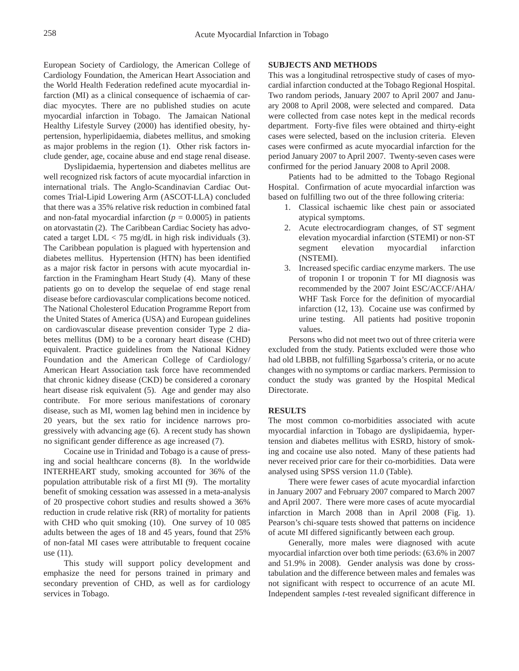European Society of Cardiology, the American College of Cardiology Foundation, the American Heart Association and the World Health Federation redefined acute myocardial infarction (MI) as a clinical consequence of ischaemia of cardiac myocytes. There are no published studies on acute myocardial infarction in Tobago. The Jamaican National Healthy Lifestyle Survey (2000) has identified obesity, hypertension, hyperlipidaemia, diabetes mellitus, and smoking as major problems in the region (1). Other risk factors include gender, age, cocaine abuse and end stage renal disease.

Dyslipidaemia, hypertension and diabetes mellitus are well recognized risk factors of acute myocardial infarction in international trials. The Anglo-Scandinavian Cardiac Outcomes Trial-Lipid Lowering Arm (ASCOT-LLA) concluded that there was a 35% relative risk reduction in combined fatal and non-fatal myocardial infarction ( $p = 0.0005$ ) in patients on atorvastatin (2). The Caribbean Cardiac Society has advocated a target LDL < 75 mg/dL in high risk individuals (3). The Caribbean population is plagued with hypertension and diabetes mellitus. Hypertension (HTN) has been identified as a major risk factor in persons with acute myocardial infarction in the Framingham Heart Study (4). Many of these patients go on to develop the sequelae of end stage renal disease before cardiovascular complications become noticed. The National Cholesterol Education Programme Report from the United States of America (USA) and European guidelines on cardiovascular disease prevention consider Type 2 diabetes mellitus (DM) to be a coronary heart disease (CHD) equivalent. Practice guidelines from the National Kidney Foundation and the American College of Cardiology/ American Heart Association task force have recommended that chronic kidney disease (CKD) be considered a coronary heart disease risk equivalent (5). Age and gender may also contribute. For more serious manifestations of coronary disease, such as MI, women lag behind men in incidence by 20 years, but the sex ratio for incidence narrows progressively with advancing age (6). A recent study has shown no significant gender difference as age increased (7).

Cocaine use in Trinidad and Tobago is a cause of pressing and social healthcare concerns (8). In the worldwide INTERHEART study, smoking accounted for 36% of the population attributable risk of a first MI (9). The mortality benefit of smoking cessation was assessed in a meta-analysis of 20 prospective cohort studies and results showed a 36% reduction in crude relative risk (RR) of mortality for patients with CHD who quit smoking (10). One survey of 10 085 adults between the ages of 18 and 45 years, found that 25% of non-fatal MI cases were attributable to frequent cocaine use (11).

This study will support policy development and emphasize the need for persons trained in primary and secondary prevention of CHD, as well as for cardiology services in Tobago.

## **SUBJECTS AND METHODS**

This was a longitudinal retrospective study of cases of myocardial infarction conducted at the Tobago Regional Hospital. Two random periods, January 2007 to April 2007 and January 2008 to April 2008, were selected and compared. Data were collected from case notes kept in the medical records department. Forty-five files were obtained and thirty-eight cases were selected, based on the inclusion criteria. Eleven cases were confirmed as acute myocardial infarction for the period January 2007 to April 2007. Twenty-seven cases were confirmed for the period January 2008 to April 2008.

Patients had to be admitted to the Tobago Regional Hospital. Confirmation of acute myocardial infarction was based on fulfilling two out of the three following criteria:

- 1. Classical ischaemic like chest pain or associated atypical symptoms.
- 2. Acute electrocardiogram changes, of ST segment elevation myocardial infarction (STEMI) or non-ST segment elevation myocardial infarction (NSTEMI).
- 3. Increased specific cardiac enzyme markers. The use of troponin I or troponin T for MI diagnosis was recommended by the 2007 Joint ESC/ACCF/AHA/ WHF Task Force for the definition of myocardial infarction (12, 13). Cocaine use was confirmed by urine testing. All patients had positive troponin values.

Persons who did not meet two out of three criteria were excluded from the study. Patients excluded were those who had old LBBB, not fulfilling Sgarbossa's criteria, or no acute changes with no symptoms or cardiac markers. Permission to conduct the study was granted by the Hospital Medical Directorate.

## **RESULTS**

The most common co-morbidities associated with acute myocardial infarction in Tobago are dyslipidaemia, hypertension and diabetes mellitus with ESRD, history of smoking and cocaine use also noted. Many of these patients had never received prior care for their co-morbidities. Data were analysed using SPSS version 11.0 (Table).

There were fewer cases of acute myocardial infarction in January 2007 and February 2007 compared to March 2007 and April 2007. There were more cases of acute myocardial infarction in March 2008 than in April 2008 (Fig. 1). Pearson's chi-square tests showed that patterns on incidence of acute MI differed significantly between each group.

Generally, more males were diagnosed with acute myocardial infarction over both time periods: (63.6% in 2007 and 51.9% in 2008). Gender analysis was done by crosstabulation and the difference between males and females was not significant with respect to occurrence of an acute MI. Independent samples *t*-test revealed significant difference in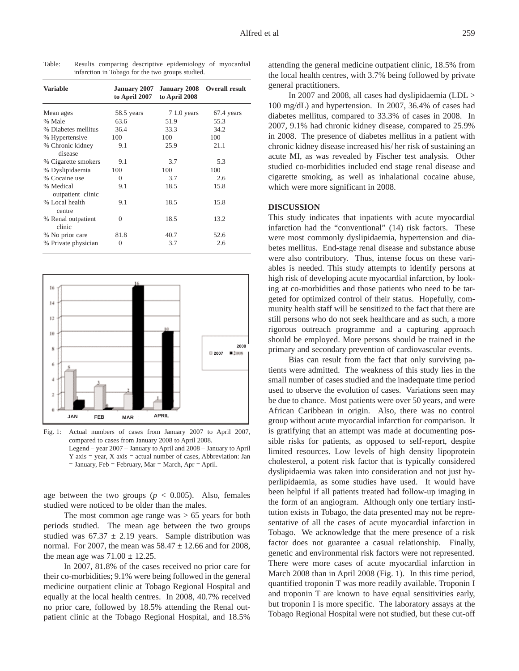| <b>Variable</b>                | January 2007<br>to April 2007 | to April 2008 | January 2008 Overall result |
|--------------------------------|-------------------------------|---------------|-----------------------------|
| Mean ages                      | 58.5 years                    | $71.0$ years  | 67.4 years                  |
| % Male                         | 63.6                          | 51.9          | 55.3                        |
| % Diabetes mellitus            | 36.4                          | 33.3          | 34.2                        |
| % Hypertensive                 | 100                           | 100           | 100                         |
| % Chronic kidney<br>disease    | 9.1                           | 25.9          | 21.1                        |
| % Cigarette smokers            | 9.1                           | 3.7           | 5.3                         |
| % Dyslipidaemia                | 100                           | 100           | 100                         |
| % Cocaine use                  | $\Omega$                      | 3.7           | 2.6                         |
| % Medical<br>outpatient clinic | 9.1                           | 18.5          | 15.8                        |
| % Local health<br>centre       | 9.1                           | 18.5          | 15.8                        |
| % Renal outpatient<br>clinic   | $\Omega$                      | 18.5          | 13.2                        |
| % No prior care                | 81.8                          | 40.7          | 52.6                        |
| % Private physician            | $\theta$                      | 3.7           | 2.6                         |

Table: Results comparing descriptive epidemiology of myocardial infarction in Tobago for the two groups studied.



Fig. 1: Actual numbers of cases from January 2007 to April 2007, compared to cases from January 2008 to April 2008. Legend – year 2007 – January to April and 2008 – January to April  $Y$  axis = year,  $X$  axis = actual number of cases, Abbreviation: Jan  $=$  January, Feb  $=$  February, Mar  $=$  March, Apr  $=$  April.

age between the two groups ( $p < 0.005$ ). Also, females studied were noticed to be older than the males.

The most common age range was  $> 65$  years for both periods studied. The mean age between the two groups studied was  $67.37 \pm 2.19$  years. Sample distribution was normal. For 2007, the mean was  $58.47 \pm 12.66$  and for 2008, the mean age was  $71.00 \pm 12.25$ .

In 2007, 81.8% of the cases received no prior care for their co-morbidities; 9.1% were being followed in the general medicine outpatient clinic at Tobago Regional Hospital and equally at the local health centres. In 2008, 40.7% received no prior care, followed by 18.5% attending the Renal outpatient clinic at the Tobago Regional Hospital, and 18.5%

attending the general medicine outpatient clinic, 18.5% from the local health centres, with 3.7% being followed by private general practitioners.

In 2007 and 2008, all cases had dyslipidaemia (LDL > 100 mg/dL) and hypertension. In 2007, 36.4% of cases had diabetes mellitus, compared to 33.3% of cases in 2008. In 2007, 9.1% had chronic kidney disease, compared to 25.9% in 2008. The presence of diabetes mellitus in a patient with chronic kidney disease increased his/ her risk of sustaining an acute MI, as was revealed by Fischer test analysis. Other studied co-morbidities included end stage renal disease and cigarette smoking, as well as inhalational cocaine abuse, which were more significant in 2008.

#### **DISCUSSION**

This study indicates that inpatients with acute myocardial infarction had the "conventional" (14) risk factors. These were most commonly dyslipidaemia, hypertension and diabetes mellitus. End-stage renal disease and substance abuse were also contributory. Thus, intense focus on these variables is needed. This study attempts to identify persons at high risk of developing acute myocardial infarction, by looking at co-morbidities and those patients who need to be targeted for optimized control of their status. Hopefully, community health staff will be sensitized to the fact that there are still persons who do not seek healthcare and as such, a more rigorous outreach programme and a capturing approach should be employed. More persons should be trained in the primary and secondary prevention of cardiovascular events.

Bias can result from the fact that only surviving patients were admitted. The weakness of this study lies in the small number of cases studied and the inadequate time period used to observe the evolution of cases. Variations seen may be due to chance. Most patients were over 50 years, and were African Caribbean in origin. Also, there was no control group without acute myocardial infarction for comparison. It is gratifying that an attempt was made at documenting possible risks for patients, as opposed to self-report, despite limited resources. Low levels of high density lipoprotein cholesterol, a potent risk factor that is typically considered dyslipidaemia was taken into consideration and not just hyperlipidaemia, as some studies have used. It would have been helpful if all patients treated had follow-up imaging in the form of an angiogram. Although only one tertiary institution exists in Tobago, the data presented may not be representative of all the cases of acute myocardial infarction in Tobago. We acknowledge that the mere presence of a risk factor does not guarantee a casual relationship. Finally, genetic and environmental risk factors were not represented. There were more cases of acute myocardial infarction in March 2008 than in April 2008 (Fig. 1). In this time period, quantified troponin T was more readily available. Troponin I and troponin T are known to have equal sensitivities early, but troponin I is more specific. The laboratory assays at the Tobago Regional Hospital were not studied, but these cut-off